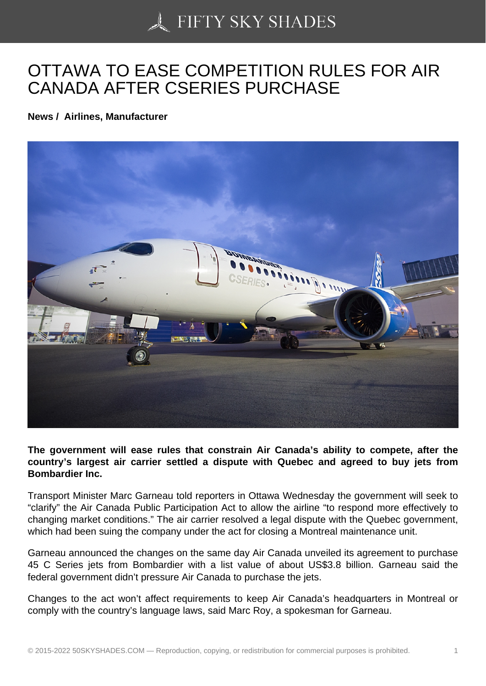## [OTTAWA TO EASE CO](https://50skyshades.com)MPETITION RULES FOR AIR CANADA AFTER CSERIES PURCHASE

News / Airlines, Manufacturer

The government will ease rules that constrain Air Canada's ability to compete, after the country's largest air carrier settled a dispute with Quebec and agreed to buy jets from Bombardier Inc.

Transport Minister Marc Garneau told reporters in Ottawa Wednesday the government will seek to "clarify" the Air Canada Public Participation Act to allow the airline "to respond more effectively to changing market conditions." The air carrier resolved a legal dispute with the Quebec government, which had been suing the company under the act for closing a Montreal maintenance unit.

Garneau announced the changes on the same day Air Canada unveiled its agreement to purchase 45 C Series jets from Bombardier with a list value of about US\$3.8 billion. Garneau said the federal government didn't pressure Air Canada to purchase the jets.

Changes to the act won't affect requirements to keep Air Canada's headquarters in Montreal or comply with the country's language laws, said Marc Roy, a spokesman for Garneau.